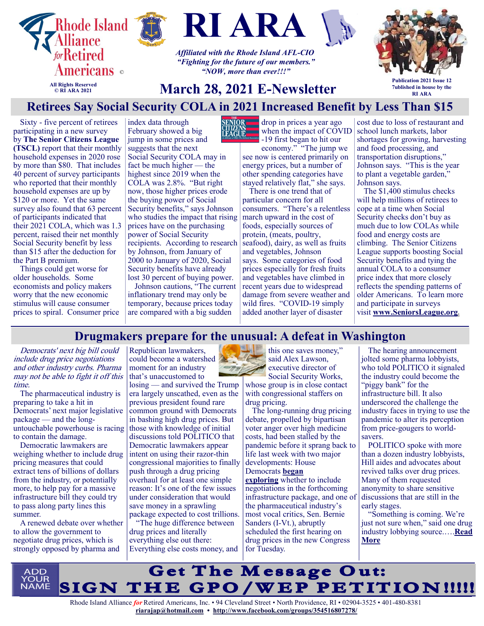



index data through



*Affiliated with the Rhode Island AFL-CIO "Fighting for the future of our members." "NOW, more than ever!!!"*



**All Rights Reserved © RI ARA 2021**

# **March 28, 2021 E-Newsletter**

**Publication 2021 Issue 12 7ublished in house by the RI ARA**

## **Retirees Say Social Security COLA in 2021 Increased Benefit by Less Than \$15**

Sixty - five percent of retirees participating in a new survey by **[The Senior Citizens League](http://www.seniorsleague.org/)  [\(TSCL\)](http://www.seniorsleague.org/)** report that their monthly household expenses in 2020 rose by more than \$80. That includes 40 percent of survey participants who reported that their monthly household expenses are up by \$120 or more. Yet the same survey also found that 63 percent of participants indicated that their 2021 COLA, which was 1.3 percent, raised their net monthly Social Security benefit by less than \$15 after the deduction for the Part B premium.

Things could get worse for older households. Some economists and policy makers worry that the new economic stimulus will cause consumer prices to spiral. Consumer price February showed a big jump in some prices and suggests that the next Social Security COLA may in fact be much higher — the highest since 2019 when the COLA was 2.8%. "But right now, those higher prices erode the buying power of Social Security benefits," says Johnson who studies the impact that rising prices have on the purchasing power of Social Security recipients. According to research by Johnson, from January of 2000 to January of 2020, Social Security benefits have already lost 30 percent of buying power.

Johnson cautions, "The current inflationary trend may only be temporary, because prices today are compared with a big sudden



drop in prices a year ago when the impact of COVID -19 first began to hit our

economy." "The jump we see now is centered primarily on energy prices, but a number of other spending categories have stayed relatively flat," she says.

There is one trend that of particular concern for all consumers. "There's a relentless march upward in the cost of foods, especially sources of protein, (meats, poultry, seafood), dairy, as well as fruits and vegetables, Johnson says. Some categories of food prices especially for fresh fruits and vegetables have climbed in recent years due to widespread damage from severe weather and wild fires. "COVID-19 simply added another layer of disaster

cost due to loss of restaurant and school lunch markets, labor shortages for growing, harvesting and food processing, and transportation disruptions," Johnson says. "This is the year to plant a vegetable garden, Johnson says.

The \$1,400 stimulus checks will help millions of retirees to cope at a time when Social Security checks don't buy as much due to low COLAs while food and energy costs are climbing. The Senior Citizens League supports boosting Social Security benefits and tying the annual COLA to a consumer price index that more closely reflects the spending patterns of older Americans. To learn more and participate in surveys visit **[www.SeniorsLeague.org.](http://www.seniorsleague.org/)**

#### **Drugmakers prepare for the unusual: A defeat in Washington**

Democrats' next big bill could include drug price negotiations and other industry curbs. Pharma may not be able to fight it off this time.

The pharmaceutical industry is preparing to take a hit in Democrats' next major legislative package — and the longuntouchable powerhouse is racing to contain the damage.

Democratic lawmakers are weighing whether to include drug pricing measures that could extract tens of billions of dollars from the industry, or potentially more, to help pay for a massive infrastructure bill they could try to pass along party lines this summer.

A renewed debate over whether to allow the government to negotiate drug prices, which is strongly opposed by pharma and

Republican lawmakers, could become a watershed moment for an industry that's unaccustomed to

losing — and survived the Trump era largely unscathed, even as the previous president found rare common ground with Democrats in bashing high drug prices. But those with knowledge of initial discussions told POLITICO that Democratic lawmakers appear intent on using their razor-thin congressional majorities to finally push through a drug pricing overhaul for at least one simple reason: It's one of the few issues under consideration that would save money in a sprawling package expected to cost trillions.

"The huge difference between drug prices and literally everything else out there: Everything else costs money, and

this one saves money," said Alex Lawson, executive director of Social Security Works, whose group is in close contact with congressional staffers on

drug pricing. The long-running drug pricing

debate, propelled by bipartisan voter anger over high medicine costs, had been stalled by the pandemic before it sprang back to life last week with two major developments: House Democrats **[began](https://www.politico.com/news/2021/03/19/reconciliation-house-democrats-477246)  [exploring](https://www.politico.com/news/2021/03/19/reconciliation-house-democrats-477246)** whether to include negotiations in the forthcoming infrastructure package, and one of the pharmaceutical industry's most vocal critics, Sen. Bernie Sanders (I-Vt.), abruptly scheduled the first hearing on drug prices in the new Congress for Tuesday.

The hearing announcement jolted some pharma lobbyists, who told POLITICO it signaled the industry could become the "piggy bank" for the infrastructure bill. It also underscored the challenge the industry faces in trying to use the pandemic to alter its perception from price-gougers to worldsavers.

POLITICO spoke with more than a dozen industry lobbyists, Hill aides and advocates about revived talks over drug prices. Many of them requested anonymity to share sensitive discussions that are still in the early stages.

"Something is coming. We're just not sure when," said one drug industry lobbying source.….**[Read](https://www.politico.com/news/2021/03/23/drugmakers-brace-for-washington-loss-477517)  [More](https://www.politico.com/news/2021/03/23/drugmakers-brace-for-washington-loss-477517)**

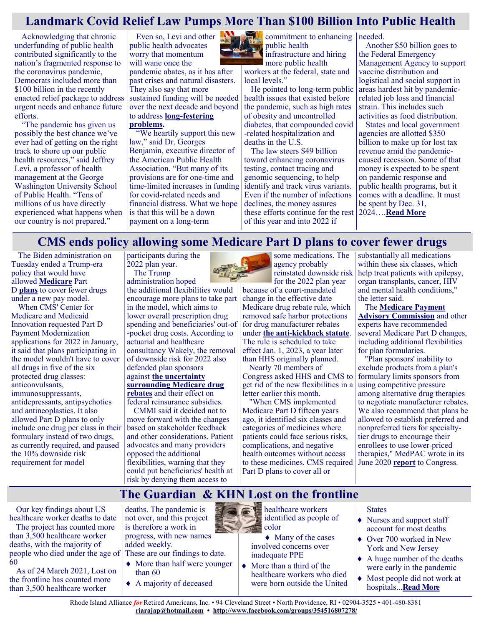#### **Landmark Covid Relief Law Pumps More Than \$100 Billion Into Public Health**

Acknowledging that chronic underfunding of public health contributed significantly to the nation's fragmented response to the coronavirus pandemic, Democrats included more than \$100 billion in the recently enacted relief package to address urgent needs and enhance future efforts.

"The pandemic has given us possibly the best chance we've ever had of getting on the right track to shore up our public health resources," said Jeffrey Levi, a professor of health management at the George Washington University School of Public Health. "Tens of millions of us have directly experienced what happens when our country is not prepared."

Even so, Levi and other public health advocates worry that momentum will wane once the pandemic abates, as it has after past crises and natural disasters. They also say that more sustained funding will be needed over the next decade and beyond to address **long-[festering](https://khn.org/news/tag/underfunded-and-under-threat/)  [problems.](https://khn.org/news/tag/underfunded-and-under-threat/)**

"We heartily support this new law," said Dr. Georges Benjamin, executive director of the American Public Health Association. "But many of its provisions are for one-time and time-limited increases in funding for covid-related needs and financial distress. What we hope is that this will be a down payment on a long-term



commitment to enhancing public health infrastructure and hiring

more public health workers at the federal, state and local levels."

He pointed to long-term public health issues that existed before the pandemic, such as high rates of obesity and uncontrolled diabetes, that compounded covid -related hospitalization and deaths in the U.S.

The law steers \$49 billion toward enhancing coronavirus testing, contact tracing and genomic sequencing, to help identify and track virus variants. Even if the number of infections declines, the money assures these efforts continue for the rest of this year and into 2022 if

needed.

Another \$50 billion goes to the Federal Emergency Management Agency to support vaccine distribution and logistical and social support in areas hardest hit by pandemicrelated job loss and financial strain. This includes such activities as food distribution.

States and local government agencies are allotted \$350 billion to make up for lost tax revenue amid the pandemiccaused recession. Some of that money is expected to be spent on pandemic response and public health programs, but it comes with a deadline. It must be spent by Dec. 31, 2024….**[Read More](https://khn.org/news/article/public-health-gets-100-billion-dollar-boost-from-biden-covid-relief-law/)**

### **CMS ends policy allowing some Medicare Part D plans to cover fewer drugs**

The Biden administration on Tuesday ended a Trump-era policy that would have allowed **[Medicare](https://www.modernhealthcare.com/medicare)** Part D **[plans](https://www.modernhealthcare.com/section/insurance)** to cover fewer drugs under a new pay model.

When CMS' Center for Medicare and Medicaid Innovation requested Part D Payment Modernization applications for 2022 in January, it said that plans participating in the model wouldn't have to cover all drugs in five of the six protected drug classes: anticonvulsants, immunosuppressants, antidepressants, antipsychotics and antineoplastics. It also allowed Part D plans to only include one drug per class in their formulary instead of two drugs, as currently required, and paused the 10% downside risk requirement for model

participants during the 2022 plan year. The Trump

administration hoped the additional flexibilities would

encourage more plans to take part in the model, which aims to lower overall prescription drug spending and beneficiaries' out-of -pocket drug costs. According to actuarial and healthcare consultancy Wakely, the removal of downside risk for 2022 also defended plan sponsors against **[the uncertainty](https://www.modernhealthcare.com/insurance/hhs-further-delays-trump-era-drug-rebate-rule)  [surrounding Medicare drug](https://www.modernhealthcare.com/insurance/hhs-further-delays-trump-era-drug-rebate-rule)  [rebates](https://www.modernhealthcare.com/insurance/hhs-further-delays-trump-era-drug-rebate-rule)** and their effect on

federal reinsurance subsidies. CMMI said it decided not to move forward with the changes based on stakeholder feedback and other considerations. Patient advocates and many providers opposed the additional flexibilities, warning that they could put beneficiaries' health at risk by denying them access to



agency probably reinstated downside risk for the 2022 plan year because of a court-mandated

change in the effective date Medicare drug rebate rule, which removed safe harbor protections for drug manufacturer rebates under **the anti-[kickback statute](https://www.modernhealthcare.com/law-regulation/physician-groups-see-problems-trump-administrations-stark-law-anti-kickback-changes)**. The rule is scheduled to take effect Jan. 1, 2023, a year later than HHS originally planned.

Nearly 70 members of Congress asked HHS and CMS to get rid of the new flexibilities in a letter earlier this month.

"When CMS implemented Medicare Part D fifteen years ago, it identified six classes and categories of medicines where patients could face serious risks, complications, and negative health outcomes without access to these medicines. CMS required Part D plans to cover all or

substantially all medications within these six classes, which help treat patients with epilepsy, organ transplants, cancer, HIV and mental health conditions," the letter said.

The **[Medicare Payment](https://www.modernhealthcare.com/topic/medicare-payment-advisory-commission-medpac)  [Advisory Commission](https://www.modernhealthcare.com/topic/medicare-payment-advisory-commission-medpac)** and other experts have recommended several Medicare Part D changes, including additional flexibilities for plan formularies.

"Plan sponsors' inability to exclude products from a plan's formulary limits sponsors from using competitive pressure among alternative drug therapies to negotiate manufacturer rebates. We also recommend that plans be allowed to establish preferred and nonpreferred tiers for specialtytier drugs to encourage their enrollees to use lower-priced therapies," MedPAC wrote in its June 2020 **[report](http://www.medpac.gov/docs/default-source/reports/jun20_ch5_reporttocongress_sec.pdf?sfvrsn=0)** to Congress.

# **The Guardian & KHN Lost on the frontline**

Our key findings about US healthcare worker deaths to date

The project has counted more than 3,500 healthcare worker deaths, with the majority of people who died under the age of These are our findings to date. 60

As of 24 March 2021, Lost on the frontline has counted more than 3,500 healthcare worker

deaths. The pandemic is not over, and this project is therefore a work in progress, with new names added weekly.

- More than half were younger than 60
- A majority of deceased

healthcare workers identified as people of color

- $\blacklozenge$  Many of the cases involved concerns over inadequate PPE
- More than a third of the healthcare workers who died were born outside the United

#### **States**

- ◆ Nurses and support staff account for most deaths
- ◆ Over 700 worked in New York and New Jersey
- A huge number of the deaths were early in the pandemic
- Most people did not work at hospitals...**[Read More](https://www.theguardian.com/us-news/ng-interactive/2020/dec/22/lost-on-the-frontline-our-findings-to-date)**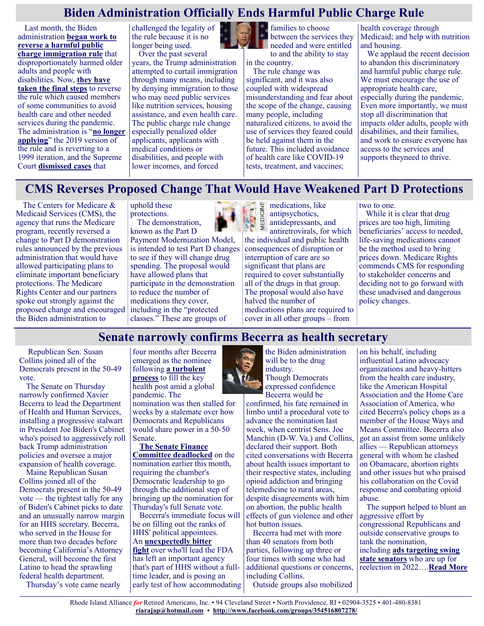#### **Biden Administration Officially Ends Harmful Public Charge Rule**

Last month, the Biden administration **[began work to](https://www.medicarerights.org/medicare-watch/2021/02/04/biden-administration-begins-reversing-harmful-public-charge-rules)  [reverse a harmful public](https://www.medicarerights.org/medicare-watch/2021/02/04/biden-administration-begins-reversing-harmful-public-charge-rules)  [charge immigration rule](https://www.medicarerights.org/medicare-watch/2021/02/04/biden-administration-begins-reversing-harmful-public-charge-rules)** that disproportionately harmed older adults and people with disabilities. Now, **[they have](https://www.cnn.com/2021/03/11/politics/biden-admin-takes-final-step-to-end-trump-era-public-charge-rule/index.html)  [taken the final steps](https://www.cnn.com/2021/03/11/politics/biden-admin-takes-final-step-to-end-trump-era-public-charge-rule/index.html)** to reverse the rule which caused members of some communities to avoid health care and other needed services during the pandemic. The administration is "**[no longer](https://www.uscis.gov/green-card/green-card-processes-and-procedures/public-charge)  [applying](https://www.uscis.gov/green-card/green-card-processes-and-procedures/public-charge)**" the 2019 version of the rule and is reverting to a 1999 iteration, and the Supreme Court **[dismissed cases](https://www.scotusblog.com/2021/03/cases-testing-trumps-public-charge-immigration-rule-are-dismissed/)** that

challenged the legality of the rule because it is no longer being used. Over the past several

years, the Trump administration attempted to curtail immigration through many means, including by denying immigration to those who may need public services like nutrition services, housing assistance, and even health care. The public charge rule change especially penalized older applicants, applicants with medical conditions or disabilities, and people with lower incomes, and forced



families to choose between the services they needed and were entitled

to and the ability to stay in the country.

The rule change was significant, and it was also coupled with widespread misunderstanding and fear about the scope of the change, causing many people, including naturalized citizens, to avoid the use of services they feared could be held against them in the future. This included avoidance of health care like COVID-19 tests, treatment, and vaccines;

health coverage through Medicaid; and help with nutrition and housing.

We applaud the recent decision to abandon this discriminatory and harmful public charge rule. We must encourage the use of appropriate health care, especially during the pandemic. Even more importantly, we must stop all discrimination that impacts older adults, people with disabilities, and their families, and work to ensure everyone has access to the services and supports theyneed to thrive.

## **CMS Reverses Proposed Change That Would Have Weakened Part D Protections**

The Centers for Medicare & Medicaid Services (CMS), the agency that runs the Medicare program, recently reversed a change to Part D demonstration rules announced by the previous administration that would have allowed participating plans to eliminate important beneficiary protections. The Medicare Rights Center and our partners spoke out strongly against the proposed change and encouraged the Biden administration to

uphold these protections. The demonstration,

known as the Part D Payment Modernization Model, is intended to test Part D changes to see if they will change drug spending. The proposal would have allowed plans that participate in the demonstration to reduce the number of medications they cover, including in the "protected classes." These are groups of



medications, like antipsychotics, antidepressants, and antiretrovirals, for which the individual and public health consequences of disruption or interruption of care are so significant that plans are required to cover substantially all of the drugs in that group. The proposal would also have halved the number of medications plans are required to cover in all other groups – from

two to one.

While it is clear that drug prices are too high, limiting beneficiaries' access to needed, life-saving medications cannot be the method used to bring prices down. Medicare Rights commends CMS for responding to stakeholder concerns and deciding not to go forward with these unadvised and dangerous policy changes.

### **Senate narrowly confirms Becerra as health secretary**

Republican Sen. Susan Collins joined all of the Democrats present in the 50-49 vote.

The Senate on Thursday narrowly confirmed Xavier Becerra to lead the Department of Health and Human Services, installing a progressive stalwart in President Joe Biden's Cabinet who's poised to aggressively roll back Trump administration policies and oversee a major expansion of health coverage.

Maine Republican Susan Collins joined all of the Democrats present in the 50-49 vote — the tightest tally for any of Biden's Cabinet picks to date and an unusually narrow margin for an HHS secretary. Becerra, who served in the House for more than two decades before becoming California's Attorney General, will become the first Latino to head the sprawling federal health department.

Thursday's vote came nearly

four months after Becerra emerged as the nominee following **[a turbulent](https://www.politico.com/news/2020/12/06/xavier-becerra-health-human-services-443356)  [process](https://www.politico.com/news/2020/12/06/xavier-becerra-health-human-services-443356)** to fill the key health post amid a global pandemic. The

nomination was then stalled for weeks by a stalemate over how Democrats and Republicans would share power in a 50-50 Senate.

**[The Senate Finance](https://www.politico.com/news/2021/03/03/senate-deadlock-becerra-health-nomination-473327)  [Committee deadlocked](https://www.politico.com/news/2021/03/03/senate-deadlock-becerra-health-nomination-473327)** on the nomination earlier this month, requiring the chamber's Democratic leadership to go through the additional step of bringing up the nomination for Thursday's full Senate vote.

Becerra's immediate focus will be on filling out the ranks of HHS' political appointees. An **[unexpectedly bitter](https://www.politico.com/news/2021/03/18/fda-janet-woodcock-476889)  [fight](https://www.politico.com/news/2021/03/18/fda-janet-woodcock-476889)** over who'll lead the FDA has left an important agency that's part of HHS without a fulltime leader, and is posing an early test of how accommodating



the Biden administration will be to the drug industry. Though Democrats expressed confidence

Becerra would be confirmed, his fate remained in limbo until a procedural vote to advance the nomination last week, when centrist Sens. Joe Manchin (D-W. Va.) and Collins, declared their support. Both cited conversations with Becerra about health issues important to their respective states, including opioid addiction and bringing telemedicine to rural areas, despite disagreements with him on abortion, the public health effects of gun violence and other hot button issues.

Becerra had met with more than 40 senators from both parties, following up three or four times with some who had additional questions or concerns, including Collins.

Outside groups also mobilized

on his behalf, including influential Latino advocacy organizations and heavy-hitters from the health care industry, like the American Hospital Association and the Home Care Association of America, who cited Becerra's policy chops as a member of the House Ways and Means Committee. Becerra also got an assist from some unlikely allies — Republican attorneys general with whom he clashed on Obamacare, abortion rights and other issues but who praised his collaboration on the Covid response and combating opioid abuse.

The support helped to blunt an aggressive effort by congressional Republicans and outside conservative groups to tank the nomination, including **[ads targeting swing](https://www.politico.com/news/2021/02/22/republicans-pressure-democrats-hhs-nomination-470816)** 

**[state senators](https://www.politico.com/news/2021/02/22/republicans-pressure-democrats-hhs-nomination-470816)** who are up for reelection in 2022….**[Read More](https://www.politico.com/news/2021/03/18/xavier-becerra-confirmed-hhs-476981)**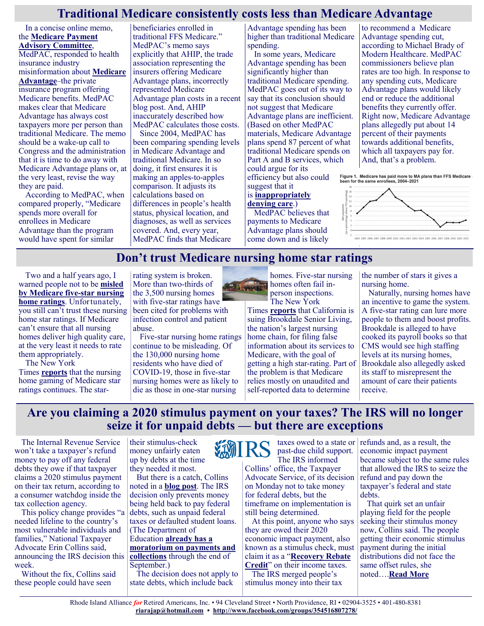#### **Traditional Medicare consistently costs less than Medicare Advantage**

In a concise online memo, the **[Medicare Payment](http://www.medpac.gov/-blog-/for-the-record-medpac-s-response-to-ahip-s-recent-correcting-the-record-blog-post/2021/03/03/for-the-record-medpac-s-response-to-ahip-s-recent-correcting-the-record-blog-post)  [Advisory Committee](http://www.medpac.gov/-blog-/for-the-record-medpac-s-response-to-ahip-s-recent-correcting-the-record-blog-post/2021/03/03/for-the-record-medpac-s-response-to-ahip-s-recent-correcting-the-record-blog-post)**, MedPAC, responded to health insurance industry misinformation about **[Medicare](https://justcareusa.org/well-kept-secrets-of-medicare-advantage-plans/)  [Advantage](https://justcareusa.org/well-kept-secrets-of-medicare-advantage-plans/)**–the private insurance program offering Medicare benefits. MedPAC makes clear that Medicare Advantage has always cost taxpayers more per person than traditional Medicare. The memo should be a wake-up call to Congress and the administration that it is time to do away with Medicare Advantage plans or, at the very least, revise the way they are paid.

According to MedPAC, when compared properly, "Medicare spends more overall for enrollees in Medicare Advantage than the program would have spent for similar

beneficiaries enrolled in traditional FFS Medicare." MedPAC's memo says explicitly that AHIP, the trade association representing the insurers offering Medicare Advantage plans, incorrectly represented Medicare Advantage plan costs in a recent blog post. And, AHIP inaccurately described how MedPAC calculates those costs. Since 2004, MedPAC has

been comparing spending levels in Medicare Advantage and traditional Medicare. In so doing, it first ensures it is making an apples-to-apples comparison. It adjusts its calculations based on differences in people's health status, physical location, and diagnoses, as well as services covered. And, every year, MedPAC finds that Medicare

Advantage spending has been higher than traditional Medicare spending.

In some years, Medicare Advantage spending has been significantly higher than traditional Medicare spending. MedPAC goes out of its way to say that its conclusion should not suggest that Medicare Advantage plans are inefficient. (Based on other MedPAC materials, Medicare Advantage plans spend 87 percent of what traditional Medicare spends on Part A and B services, which could argue for its efficiency but also could suggest that it

#### is **[inappropriately](https://justcareusa.org/office-of-inspector-general-finds-that-part-d-plans-inappropriately-deny-drug-coverage/)  [denying care](https://justcareusa.org/office-of-inspector-general-finds-that-part-d-plans-inappropriately-deny-drug-coverage/)**.)

MedPAC believes that payments to Medicare Advantage plans should come down and is likely

to recommend a Medicare Advantage spending cut, according to Michael Brady of Modern Healthcare. MedPAC commissioners believe plan rates are too high. In response to any spending cuts, Medicare Advantage plans would likely end or reduce the additional benefits they currently offer. Right now, Medicare Advantage plans allegedly put about 14 percent of their payments towards additional benefits, which all taxpayers pay for. And, that's a problem.

Figure 1. Medicare has paid more to MA plans than FFS Medicare :<br>been for the same enrollees, 2004–2021



#### **Don't trust Medicare nursing home star ratings**

Two and a half years ago, I warned people not to be **[misled](https://justcareusa.org/dont-be-misled-by-five-star-nursing-home-ratings/)  [by Medicare five](https://justcareusa.org/dont-be-misled-by-five-star-nursing-home-ratings/)-star nursing [home ratings](https://justcareusa.org/dont-be-misled-by-five-star-nursing-home-ratings/)**. Unfortunately, you still can't trust these nursing home star ratings. If Medicare can't ensure that all nursing homes deliver high quality care, at the very least it needs to rate them appropriately.

The New York

Times **[reports](https://www.nytimes.com/2021/03/13/business/nursing-homes-ratings-medicare-covid.html)** that the nursing home gaming of Medicare star ratings continues. The starrating system is broken. More than two-thirds of the 3,500 nursing homes with five-star ratings have been cited for problems with infection control and patient abuse.

Five-star nursing home ratings continue to be misleading. Of the 130,000 nursing home residents who have died of COVID-19, those in five-star nursing homes were as likely to die as those in one-star nursing



homes. Five-star nursing homes often fail inperson inspections. The New York

Times **[reports](https://www.nytimes.com/2021/03/15/business/california-lawsuit-brookdale-senior-living-nursing-homes.html)** that California is suing Brookdale Senior Living, the nation's largest nursing home chain, for filing false information about its services to Medicare, with the goal of getting a high star-rating. Part of the problem is that Medicare relies mostly on unaudited and self-reported data to determine

the number of stars it gives a nursing home.

Naturally, nursing homes have an incentive to game the system. A five-star rating can lure more people to them and boost profits. Brookdale is alleged to have cooked its payroll books so that CMS would see high staffing levels at its nursing homes, Brookdale also allegedly asked its staff to misrepresent the amount of care their patients receive.

## **Are you claiming a 2020 stimulus payment on your taxes? The IRS will no longer seize it for unpaid debts — but there are exceptions**

The Internal Revenue Service won't take a taxpayer's refund money to pay off any federal debts they owe if that taxpayer claims a 2020 stimulus payment on their tax return, according to a consumer watchdog inside the tax collection agency.

This policy change provides "a needed lifeline to the country's most vulnerable individuals and families," National Taxpayer Advocate Erin Collins said, announcing the IRS decision this week.

Without the fix, Collins said these people could have seen

their stimulus-check money unfairly eaten up by debts at the time they needed it most.

But there is a catch, Collins noted in a **[blog post](https://www.taxpayeradvocate.irs.gov/news/nta-blog-update-on-offset-of-recovery-rebate-credits-the-irs-has-agreed-to-exercise-its-discretion-to-stop-offsets-of-federal-tax-debts/)**. The IRS decision only prevents money being held back to pay federal debts, such as unpaid federal taxes or defaulted student loans. (The Department of Education **[already has a](https://www.marketwatch.com/story/one-of-bidens-first-moves-will-be-extending-the-student-loan-payment-pause-through-sept-30-11611156068)  [moratorium on payments and](https://www.marketwatch.com/story/one-of-bidens-first-moves-will-be-extending-the-student-loan-payment-pause-through-sept-30-11611156068)  [collections](https://www.marketwatch.com/story/one-of-bidens-first-moves-will-be-extending-the-student-loan-payment-pause-through-sept-30-11611156068)** through the end of September.) The decision does not apply to state debts, which include back



past-due child support. The IRS informed

Collins' office, the Taxpayer Advocate Service, of its decision on Monday not to take money for federal debts, but the timeframe on implementation is still being determined.

At this point, anyone who says they are owed their 2020 economic impact payment, also known as a stimulus check, must claim it as a "**[Recovery Rebate](https://www.marketwatch.com/story/how-to-claim-stimulus-money-on-your-2020-taxes-its-really-the-only-vehicle-that-you-have-right-now-11614824506)  [Credit](https://www.marketwatch.com/story/how-to-claim-stimulus-money-on-your-2020-taxes-its-really-the-only-vehicle-that-you-have-right-now-11614824506)**" on their income taxes. The IRS merged people's stimulus money into their tax

taxes owed to a state or refunds and, as a result, the economic impact payment became subject to the same rules that allowed the IRS to seize the refund and pay down the taxpayer's federal and state debts.

That quirk set an unfair playing field for the people seeking their stimulus money now, Collins said. The people getting their economic stimulus payment during the initial distributions did not face the same offset rules, she noted….**[Read More](https://www.msn.com/en-us/money/taxes/are-you-claiming-a-2020-stimulus-payment-on-your-taxes-the-irs-will-no-longer-seize-it-for-unpaid-debts-but-there-are-exceptions/ar-BB1eGClt?ocid=SK2DDHP)**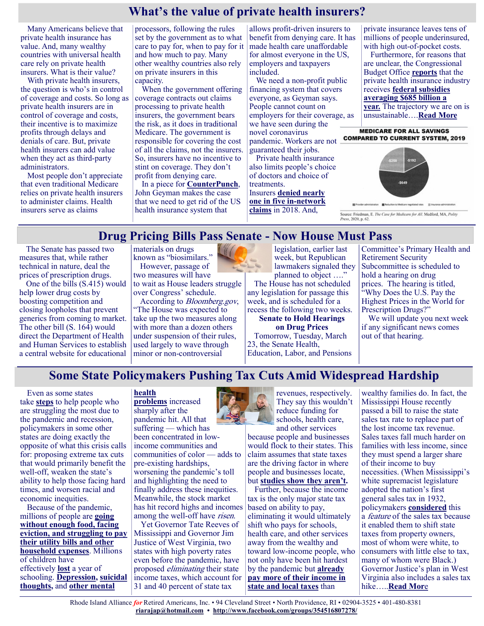## **What's the value of private health insurers?**

Many Americans believe that private health insurance has value. And, many wealthy countries with universal health care rely on private health insurers. What is their value?

With private health insurers, the question is who's in control of coverage and costs. So long as private health insurers are in control of coverage and costs, their incentive is to maximize profits through delays and denials of care. But, private health insurers can add value when they act as third-party administrators.

Most people don't appreciate that even traditional Medicare relies on private health insurers to administer claims. Health insurers serve as claims

processors, following the rules set by the government as to what care to pay for, when to pay for it and how much to pay. Many other wealthy countries also rely on private insurers in this capacity.

When the government offering coverage contracts out claims processing to private health insurers, the government bears the risk, as it does in traditional Medicare. The government is responsible for covering the cost of all the claims, not the insurers. So, insurers have no incentive to stint on coverage. They don't profit from denying care.

In a piece for **[CounterPunch](https://www.counterpunch.org/2021/03/05/the-private-health-insurance-industry-should-it-be-eliminated/)**, John Geyman makes the case that we need to get rid of the US health insurance system that

allows profit-driven insurers to benefit from denying care. It has made health care unaffordable for almost everyone in the US, employers and taxpayers included.

We need a non-profit public financing system that covers everyone, as Geyman says. People cannot count on employers for their coverage, as we have seen during the novel coronavirus pandemic. Workers are not guaranteed their jobs.

Private health insurance also limits people's choice of doctors and choice of treatments.

Insurers **[denied nearly](https://www.kff.org/private-insurance/issue-brief/claims-denials-and-appeals-in-aca-marketplace-plans/)  [one in five in](https://www.kff.org/private-insurance/issue-brief/claims-denials-and-appeals-in-aca-marketplace-plans/)-network [claims](https://www.kff.org/private-insurance/issue-brief/claims-denials-and-appeals-in-aca-marketplace-plans/)** in 2018. And,

private insurance leaves tens of millions of people underinsured, with high out-of-pocket costs.

Furthermore, for reasons that are unclear, the Congressional Budget Office **[reports](https://www.cbo.gov/publication/53826)** that the private health insurance industry receives **[federal subsidies](https://www.bloomberg.com/news/articles/2018-05-23/it-costs-685-billion-a-year-to-subsidize-u-s-health-insurance)  [averaging \\$685 billion a](https://www.bloomberg.com/news/articles/2018-05-23/it-costs-685-billion-a-year-to-subsidize-u-s-health-insurance)  [year.](https://www.bloomberg.com/news/articles/2018-05-23/it-costs-685-billion-a-year-to-subsidize-u-s-health-insurance)** The trajectory we are on is unsustainable….**[Read More](https://justcareusa.org/whats-the-value-of-private-health-insurers/)**

**MEDICARE FOR ALL SAVINGS COMPARED TO CURRENT SYSTEM, 2019** 



Source: Friedman, E. The Case for Medicare for All. Medford, MA, Polity Press, 2020, p. 62.

### **Drug Pricing Bills Pass Senate - Now House Must Pass**

The Senate has passed two measures that, while rather technical in nature, deal the prices of prescription drugs.

One of the bills (S.415) would help lower drug costs by boosting competition and closing loopholes that prevent generics from coming to market. The other bill (S. 164) would direct the Department of Health and Human Services to establish a central website for educational

materials on drugs known as "biosimilars." However, passage of

two measures will have to wait as House leaders struggle over Congress' schedule.

According to Bloomberg.gov, "The House was expected to take up the two measures along with more than a dozen others under suspension of their rules, used largely to wave through minor or non-controversial

legislation, earlier last week, but Republican lawmakers signaled they planned to object …."

The House has not scheduled any legislation for passage this week, and is scheduled for a recess the following two weeks. **Senate to Hold Hearings**

**on Drug Prices** Tomorrow, Tuesday, March 23, the Senate Health, Education, Labor, and Pensions

Committee's Primary Health and Retirement Security Subcommittee is scheduled to hold a hearing on drug prices. The hearing is titled, "Why Does the U.S. Pay the Highest Prices in the World for Prescription Drugs?"

We will update you next week if any significant news comes out of that hearing.

## **Some State Policymakers Pushing Tax Cuts Amid Widespread Hardship**

Even as some states take **[steps](https://www.gov.ca.gov/2021/02/23/governor-newsom-signs-legislative-package-providing-urgent-relief-to-californians-experiencing-pandemic-hardship/)** to help people who are struggling the most due to the pandemic and recession, policymakers in some other states are doing exactly the opposite of what this crisis calls for: proposing extreme tax cuts that would primarily benefit the well-off, weaken the state's ability to help those facing hard times, and worsen racial and economic inequities.

Because of the pandemic, millions of people are **[going](https://www.cbpp.org/research/poverty-and-inequality/tracking-the-covid-19-recessions-effects-on-food-housing-and)  [without enough food, facing](https://www.cbpp.org/research/poverty-and-inequality/tracking-the-covid-19-recessions-effects-on-food-housing-and)  [eviction, and struggling to pay](https://www.cbpp.org/research/poverty-and-inequality/tracking-the-covid-19-recessions-effects-on-food-housing-and)  [their utility bills and other](https://www.cbpp.org/research/poverty-and-inequality/tracking-the-covid-19-recessions-effects-on-food-housing-and)  [household expenses](https://www.cbpp.org/research/poverty-and-inequality/tracking-the-covid-19-recessions-effects-on-food-housing-and)**. Millions of children have effectively **[lost](https://governor.wv.gov/News/press-releases/2021/Pages/2021-West-Virginia-State-of-the-State-Address.aspx)** a year of schooling. **[Depression,](https://www.npr.org/sections/health-shots/2020/09/02/908551297/pandemics-emotional-hammer-hits-hard) [suicidal](https://jamanetwork.com/journals/jamanetworkopen/fullarticle/2776559)  [thoughts,](https://jamanetwork.com/journals/jamanetworkopen/fullarticle/2776559)** and **[other mental](https://www.cdc.gov/mmwr/volumes/69/wr/mm6932a1.htm?s_cid=mm6932a1_w)** 

#### **[health](https://www.cdc.gov/mmwr/volumes/69/wr/mm6932a1.htm?s_cid=mm6932a1_w)**

**[problems](https://www.cdc.gov/mmwr/volumes/69/wr/mm6932a1.htm?s_cid=mm6932a1_w)** increased sharply after the pandemic hit. All that suffering — which has been concentrated in lowincome communities and communities of color — adds to pre-existing hardships, worsening the pandemic's toll and highlighting the need to finally address these inequities. Meanwhile, the stock market has hit record highs and incomes among the well-off have *risen*.

Yet Governor Tate Reeves of Mississippi and Governor Jim Justice of West Virginia, two states with high poverty rates even before the pandemic, have proposed *eliminating* their state income taxes, which account for 31 and 40 percent of state tax



revenues, respectively. They say this wouldn't reduce funding for schools, health care, and other services

because people and businesses would flock to their states. This claim assumes that state taxes are the driving factor in where people and businesses locate, but **[studies show they aren't.](https://www.cbpp.org/research/state-budget-and-tax/raising-state-income-tax-rates-at-the-top-a-sensible-way-to-fund-key)**

Further, because the income tax is the only major state tax based on ability to pay, eliminating it would ultimately shift who pays for schools, health care, and other services away from the wealthy and toward low-income people, who not only have been hit hardest by the pandemic but **[already](https://itep.org/whopays-map/)  [pay more of their income in](https://itep.org/whopays-map/)  [state and local taxes](https://itep.org/whopays-map/)** than

wealthy families do. In fact, the Mississippi House recently passed a bill to raise the state sales tax rate to replace part of the lost income tax revenue. Sales taxes fall much harder on families with less income, since they must spend a larger share of their income to buy necessities. (When Mississippi's white supremacist legislature adopted the nation's first general sales tax in 1932, policymakers **[considered](https://www.cbpp.org/research/state-budget-and-tax/advancing-racial-equity-with-state-tax-policy)** this a *feature* of the sales tax because it enabled them to shift state taxes from property owners, most of whom were white, to consumers with little else to tax, many of whom were Black.) Governor Justice's plan in West Virginia also includes a sales tax hike…..**[Read Mor](https://www.cbpp.org/blog/some-state-policymakers-pushing-tax-cuts-amid-widespread-hardship)**e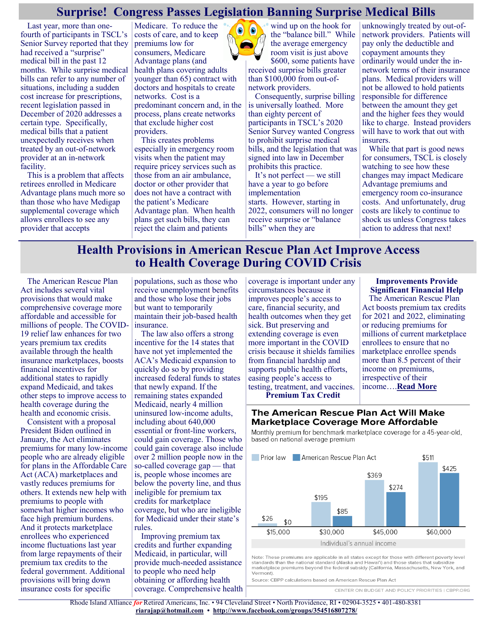#### **Surprise! Congress Passes Legislation Banning Surprise Medical Bills**

Last year, more than onefourth of participants in TSCL's Senior Survey reported that they had received a "surprise" medical bill in the past 12 months. While surprise medical bills can refer to any number of situations, including a sudden cost increase for prescriptions, recent legislation passed in December of 2020 addresses a certain type. Specifically, medical bills that a patient unexpectedly receives when treated by an out-of-network provider at an in-network facility.

This is a problem that affects retirees enrolled in Medicare Advantage plans much more so than those who have Medigap supplemental coverage which allows enrollees to see any provider that accepts

Medicare. To reduce the costs of care, and to keep premiums low for consumers, Medicare Advantage plans (and health plans covering adults younger than 65) contract with doctors and hospitals to create networks. Cost is a predominant concern and, in the process, plans create networks that exclude higher cost providers.

This creates problems especially in emergency room visits when the patient may require pricey services such as those from an air ambulance, doctor or other provider that does not have a contract with the patient's Medicare Advantage plan. When health plans get such bills, they can reject the claim and patients



wind up on the hook for the "balance bill." While the average emergency room visit is just above \$600, some patients have received surprise bills greater

than \$100,000 from out-ofnetwork providers.

Consequently, surprise billing is universally loathed. More than eighty percent of participants in TSCL's 2020 Senior Survey wanted Congress to prohibit surprise medical bills, and the legislation that was signed into law in December prohibits this practice.

It's not perfect — we still have a year to go before implementation starts. However, starting in 2022, consumers will no longer receive surprise or "balance bills" when they are

unknowingly treated by out-ofnetwork providers. Patients will pay only the deductible and copayment amounts they ordinarily would under the innetwork terms of their insurance plans. Medical providers will not be allowed to hold patients responsible for difference between the amount they get and the higher fees they would like to charge. Instead providers will have to work that out with insurers.

While that part is good news for consumers, TSCL is closely watching to see how these changes may impact Medicare Advantage premiums and emergency room co-insurance costs. And unfortunately, drug costs are likely to continue to shock us unless Congress takes action to address that next!

#### **Health Provisions in American Rescue Plan Act Improve Access to Health Coverage During COVID Crisis**

The American Rescue Plan Act includes several vital provisions that would make comprehensive coverage more affordable and accessible for millions of people. The COVID-19 relief law enhances for two years premium tax credits available through the health insurance marketplaces, boosts financial incentives for additional states to rapidly expand Medicaid, and takes other steps to improve access to health coverage during the health and economic crisis.

Consistent with a proposal President Biden outlined in January, the Act eliminates premiums for many low-income people who are already eligible for plans in the Affordable Care Act (ACA) marketplaces and vastly reduces premiums for others. It extends new help with premiums to people with somewhat higher incomes who face high premium burdens. And it protects marketplace enrollees who experienced income fluctuations last year from large repayments of their premium tax credits to the federal government. Additional provisions will bring down insurance costs for specific

populations, such as those who receive unemployment benefits and those who lose their jobs but want to temporarily maintain their job-based health insurance.

The law also offers a strong incentive for the 14 states that have not yet implemented the ACA's Medicaid expansion to quickly do so by providing increased federal funds to states that newly expand. If the remaining states expanded Medicaid, nearly 4 million uninsured low-income adults, including about 640,000 essential or front-line workers, could gain coverage. Those who could gain coverage also include over 2 million people now in the so-called coverage gap — that is, people whose incomes are below the poverty line, and thus ineligible for premium tax credits for marketplace coverage, but who are ineligible for Medicaid under their state's rules.

Improving premium tax credits and further expanding Medicaid, in particular, will provide much-needed assistance to people who need help obtaining or affording health coverage. Comprehensive health coverage is important under any circumstances because it improves people's access to care, financial security, and health outcomes when they get sick. But preserving and extending coverage is even more important in the COVID crisis because it shields families from financial hardship and supports public health efforts, easing people's access to testing, treatment, and vaccines. **Premium Tax Credit** 

#### **Improvements Provide Significant Financial Help**

The American Rescue Plan Act boosts premium tax credits for 2021 and 2022, eliminating or reducing premiums for millions of current marketplace enrollees to ensure that no marketplace enrollee spends more than 8.5 percent of their income on premiums, irrespective of their income….**[Read More](https://www.cbpp.org/research/health/health-provisions-in-american-rescue-plan-act-improve-access-to-health-coverage)**

#### The American Rescue Plan Act Will Make **Marketplace Coverage More Affordable**

Monthly premium for benchmark marketplace coverage for a 45-year-old. based on national average premium



Note: These premiums are applicable in all states except for those with different poverty level standards than the national standard (Alaska and Hawai'i) and those states that subsidize marketplace premiums beyond the federal subsidy (California, Massachusetts, New York, and Vermont

Source: CBPP calculations based on American Rescue Plan Act

CENTER ON BUDGET AND POLICY PRIORITIES I CBPP.ORG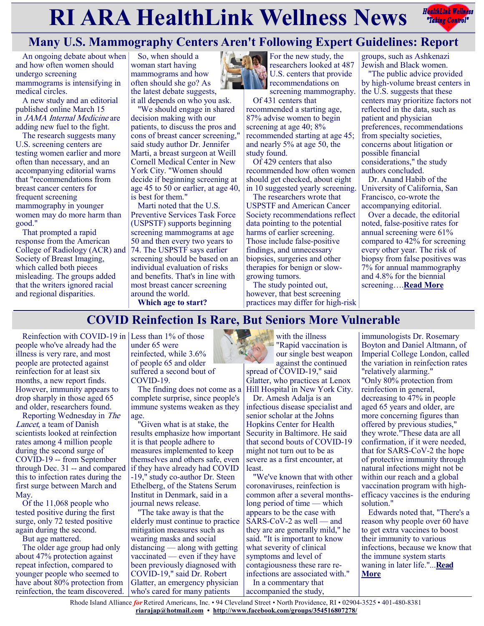# **RIARA HealthLink Wellness News** *Redige Controly* **Redige Control**y



# **Many U.S. Mammography Centers Aren't Following Expert Guidelines: Report**

An ongoing debate about when and how often women should undergo screening mammograms is intensifying in medical circles.

A new study and an editorial published online March 15 in JAMA Internal Medicine are adding new fuel to the fight.

The research suggests many U.S. screening centers are testing women earlier and more often than necessary, and an accompanying editorial warns that "recommendations from breast cancer centers for frequent screening mammography in younger women may do more harm than good."

That prompted a rapid response from the American College of Radiology (ACR) and 74. The USPSTF says earlier Society of Breast Imaging, which called both pieces misleading. The groups added that the writers ignored racial and regional disparities.

So, when should a woman start having mammograms and how often should she go? As the latest debate suggests, it all depends on who you ask.

"We should engage in shared decision making with our patients, to discuss the pros and cons of breast cancer screening," said study author Dr. Jennifer Marti, a breast surgeon at Weill

Cornell Medical Center in New York City. "Women should decide if beginning screening at age 45 to 50 or earlier, at age 40, is best for them."

Marti noted that the U.S. Preventive Services Task Force (USPSTF) supports beginning screening mammograms at age 50 and then every two years to screening should be based on an individual evaluation of risks and benefits. That's in line with most breast cancer screening around the world.



For the new study, the researchers looked at 487 U.S. centers that provide recommendations on

screening mammography. Of 431 centers that

recommended a starting age, 87% advise women to begin screening at age 40;  $8\%$ recommended starting at age 45; and nearly 5% at age 50, the study found.

Of 429 centers that also recommended how often women should get checked, about eight in 10 suggested yearly screening.

The researchers wrote that USPSTF and American Cancer Society recommendations reflect data pointing to the potential harms of earlier screening. Those include false-positive findings, and unnecessary biopsies, surgeries and other therapies for benign or slowgrowing tumors.

The study pointed out, however, that best screening practices may differ for high-risk

groups, such as Ashkenazi Jewish and Black women.

"The public advice provided by high-volume breast centers in the U.S. suggests that these centers may prioritize factors not reflected in the data, such as patient and physician preferences, recommendations from specialty societies, concerns about litigation or possible financial considerations," the study authors concluded.

Dr. Anand Habib of the University of California, San Francisco, co-wrote the accompanying editorial.

Over a decade, the editorial noted, false-positive rates for annual screening were 61% compared to 42% for screening every other year. The risk of biopsy from false positives was 7% for annual mammography and 4.8% for the biennial screening….**[Read More](https://consumer.healthday.com/3-18-many-u-s-mammography-centers-arent-following-expert-guidelines-2651036077.html)**

**Which age to start?**

# **COVID Reinfection Is Rare, But Seniors More Vulnerable**

Reinfection with COVID-19 in Less than  $1\%$  of those people who've already had the illness is very rare, and most people are protected against reinfection for at least six months, a new report finds. However, immunity appears to drop sharply in those aged 65 and older, researchers found.

Reporting Wednesday in The Lancet, a team of Danish scientists looked at reinfection rates among 4 million people during the second surge of COVID-19 -- from September through Dec. 31 -- and compared this to infection rates during the first surge between March and May.

Of the 11,068 people who tested positive during the first surge, only 72 tested positive again during the second.

But age mattered.

The older age group had only about 47% protection against repeat infection, compared to younger people who seemed to have about 80% protection from reinfection, the team discovered. under 65 were reinfected, while 3.6% of people 65 and older suffered a second bout of COVID-19.

The finding does not come as a complete surprise, since people's immune systems weaken as they age.

"Given what is at stake, the results emphasize how important it is that people adhere to measures implemented to keep themselves and others safe, even if they have already had COVID -19," study co-author Dr. Steen Ethelberg, of the Statens Serum Institut in Denmark, said in a journal news release.

"The take away is that the elderly must continue to practice mitigation measures such as wearing masks and social distancing — along with getting vaccinated — even if they have been previously diagnosed with COVID-19," said Dr. Robert Glatter, an emergency physician who's cared for many patients

with the illness "Rapid vaccination is our single best weapon against the continued spread of COVID-19," said Glatter, who practices at Lenox Hill Hospital in New York City. Dr. Amesh Adalja is an

infectious disease specialist and senior scholar at the Johns Hopkins Center for Health Security in Baltimore. He said that second bouts of COVID-19 might not turn out to be as severe as a first encounter, at least.

"We've known that with other coronaviruses, reinfection is common after a several monthslong period of time — which appears to be the case with SARS-CoV-2 as well — and they are are generally mild," he said. "It is important to know what severity of clinical symptoms and level of contagiousness these rare reinfections are associated with." In a commentary that

accompanied the study,

immunologists Dr. Rosemary Boyton and Daniel Altmann, of Imperial College London, called the variation in reinfection rates "relatively alarming." "Only 80% protection from reinfection in general, decreasing to 47% in people aged 65 years and older, are more concerning figures than offered by previous studies," they wrote."These data are all confirmation, if it were needed, that for SARS-CoV-2 the hope of protective immunity through natural infections might not be within our reach and a global vaccination program with highefficacy vaccines is the enduring solution."

Edwards noted that, "There's a reason why people over 60 have to get extra vaccines to boost their immunity to various infections, because we know that the immune system starts waning in later life."...**[Read](https://consumer.healthday.com/3-18-covid-reinfection-rates-much-higher-in-seniors-study-2651127498.html)  [More](https://consumer.healthday.com/3-18-covid-reinfection-rates-much-higher-in-seniors-study-2651127498.html)**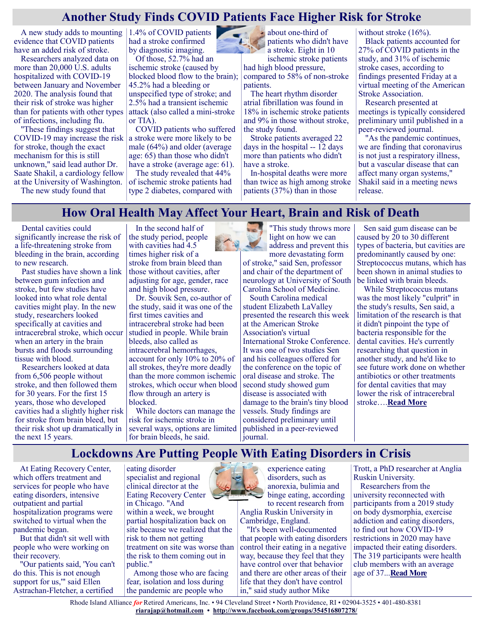#### **Another Study Finds COVID Patients Face Higher Risk for Stroke**

A new study adds to mounting 1.4% of COVID patients evidence that COVID patients have an added risk of stroke.

Researchers analyzed data on more than 20,000 U.S. adults hospitalized with COVID-19 between January and November 2020. The analysis found that their risk of stroke was higher than for patients with other types of infections, including flu.

"These findings suggest that COVID-19 may increase the risk for stroke, though the exact mechanism for this is still unknown," said lead author Dr. Saate Shakil, a cardiology fellow at the University of Washington.

The new study found that

had a stroke confirmed by diagnostic imaging.

Of those, 52.7% had an ischemic stroke (caused by blocked blood flow to the brain); 45.2% had a bleeding or unspecified type of stroke; and 2.5% had a transient ischemic attack (also called a mini-stroke or TIA).

COVID patients who suffered a stroke were more likely to be male (64%) and older (average age: 65) than those who didn't have a stroke (average age: 61).

The study revealed that 44% of ischemic stroke patients had type 2 diabetes, compared with



about one-third of patients who didn't have a stroke. Eight in 10

ischemic stroke patients had high blood pressure, compared to 58% of non-stroke patients.

The heart rhythm disorder atrial fibrillation was found in 18% in ischemic stroke patients and 9% in those without stroke, the study found.

Stroke patients averaged 22 days in the hospital -- 12 days more than patients who didn't have a stroke.

In-hospital deaths were more than twice as high among stroke patients (37%) than in those

without stroke (16%).

Black patients accounted for 27% of COVID patients in the study, and 31% of ischemic stroke cases, according to findings presented Friday at a virtual meeting of the American Stroke Association.

Research presented at meetings is typically considered preliminary until published in a peer-reviewed journal.

"As the pandemic continues, we are finding that coronavirus is not just a respiratory illness, but a vascular disease that can affect many organ systems," Shakil said in a meeting news release.

#### **How Oral Health May Affect Your Heart, Brain and Risk of Death**

Dental cavities could significantly increase the risk of a life-threatening stroke from bleeding in the brain, according to new research.

Past studies have shown a link between gum infection and stroke, but few studies have looked into what role dental cavities might play. In the new study, researchers looked specifically at cavities and intracerebral stroke, which occur when an artery in the brain bursts and floods surrounding tissue with blood.

Researchers looked at data from 6,506 people without stroke, and then followed them for 30 years. For the first 15 years, those who developed cavities had a slightly higher risk for stroke from brain bleed, but their risk shot up dramatically in the next 15 years.

In the second half of the study period, people with cavities had 4.5 times higher risk of a stroke from brain bleed than those without cavities, after adjusting for age, gender, race and high blood pressure.

Dr. Souvik Sen, co-author of the study, said it was one of the first times cavities and intracerebral stroke had been studied in people. While brain bleeds, also called as intracerebral hemorrhages, account for only 10% to 20% of all strokes, they're more deadly than the more common ischemic strokes, which occur when blood flow through an artery is blocked.

While doctors can manage the risk for ischemic stroke in several ways, options are limited for brain bleeds, he said.



light on how we can address and prevent this more devastating form of stroke," said Sen, professor and chair of the department of neurology at University of South

Carolina School of Medicine. South Carolina medical student Elizabeth LaValley presented the research this week at the American Stroke Association's virtual International Stroke Conference. It was one of two studies Sen and his colleagues offered for the conference on the topic of oral disease and stroke. The second study showed gum disease is associated with damage to the brain's tiny blood vessels. Study findings are considered preliminary until published in a peer-reviewed journal.

Sen said gum disease can be caused by 20 to 30 different types of bacteria, but cavities are predominantly caused by one: Streptococcus mutans, which has been shown in animal studies to be linked with brain bleeds.

While Streptococcus mutans was the most likely "culprit" in the study's results, Sen said, a limitation of the research is that it didn't pinpoint the type of bacteria responsible for the dental cavities. He's currently researching that question in another study, and he'd like to see future work done on whether antibiotics or other treatments for dental cavities that may lower the risk of intracerebral stroke….**[Read More](https://consumer.healthday.com/aha-news-how-oral-health-may-affect-your-heart-brain-and-risk-of-death-2651142372.html)**

#### **Lockdowns Are Putting People With Eating Disorders in Crisis**

At Eating Recovery Center, which offers treatment and services for people who have eating disorders, intensive outpatient and partial hospitalization programs were switched to virtual when the pandemic began.

But that didn't sit well with people who were working on their recovery.

"Our patients said, 'You can't do this. This is not enough support for us," said Ellen Astrachan-Fletcher, a certified

eating disorder specialist and regional clinical director at the Eating Recovery Center in Chicago. "And within a week, we brought partial hospitalization back on site because we realized that the risk to them not getting treatment on site was worse than the risk to them coming out in public."

Among those who are facing fear, isolation and loss during the pandemic are people who



experience eating disorders, such as anorexia, bulimia and binge eating, according to recent research from

Anglia Ruskin University in Cambridge, England.

"It's been well-documented that people with eating disorders control their eating in a negative way, because they feel that they have control over that behavior and there are other areas of their life that they don't have control in," said study author Mike

Trott, a PhD researcher at Anglia Ruskin University.

Researchers from the university reconnected with participants from a 2019 study on body dysmorphia, exercise addiction and eating disorders, to find out how COVID-19 restrictions in 2020 may have impacted their eating disorders. The 319 participants were health club members with an average age of 37...**[Read More](https://consumer.healthday.com/3-18-lockdowns-are-putting-people-with-eating-disorders-in-crisis-2651008134.html)**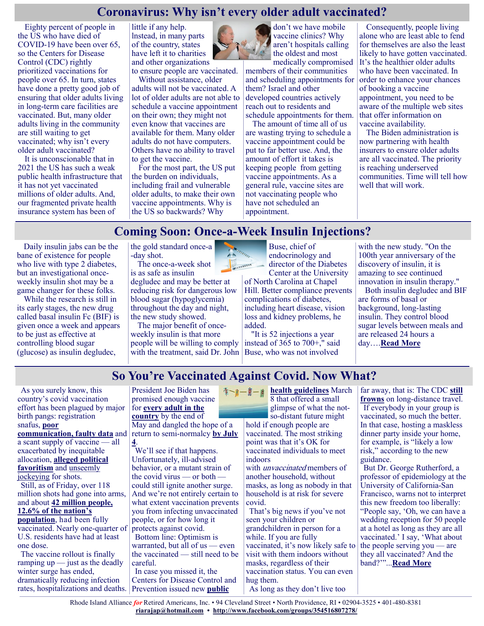#### **Coronavirus: Why isn't every older adult vaccinated?**

Eighty percent of people in the US who have died of COVID-19 have been over 65, so the Centers for Disease Control (CDC) rightly prioritized vaccinations for people over 65. In turn, states have done a pretty good job of ensuring that older adults living in long-term care facilities are vaccinated. But, many older adults living in the community are still waiting to get vaccinated; why isn't every older adult vaccinated?

It is unconscionable that in 2021 the US has such a weak public health infrastructure that it has not yet vaccinated millions of older adults. And, our fragmented private health insurance system has been of

little if any help. lnstead, in many parts of the country, states have left it to charities and other organizations

to ensure people are vaccinated. Without assistance, older adults will not be vaccinated. A

lot of older adults are not able to schedule a vaccine appointment on their own; they might not even know that vaccines are available for them. Many older adults do not have computers. Others have no ability to travel to get the vaccine.

For the most part, the US put the burden on individuals, including frail and vulnerable older adults, to make their own vaccine appointments. Why is the US so backwards? Why



aren't hospitals calling the oldest and most medically compromised members of their communities

and scheduling appointments for them? Israel and other developed countries actively reach out to residents and schedule appointments for them.

The amount of time all of us are wasting trying to schedule a vaccine appointment could be put to far better use. And, the amount of effort it takes is keeping people from getting vaccine appointments. As a general rule, vaccine sites are not vaccinating people who have not scheduled an appointment.

Consequently, people living alone who are least able to fend for themselves are also the least likely to have gotten vaccinated. It's the healthier older adults who have been vaccinated. In order to enhance your chances of booking a vaccine appointment, you need to be aware of the multiple web sites that offer information on vaccine availability.

The Biden administration is now partnering with health insurers to ensure older adults are all vaccinated. The priority is reaching underserved communities. Time will tell how well that will work.

# **Coming Soon: Once-a-Week Insulin Injections?**

**FERRARESE** 

Daily insulin jabs can be the bane of existence for people who live with type 2 diabetes, but an investigational onceweekly insulin shot may be a game changer for these folks.

While the research is still in its early stages, the new drug called basal insulin Fc (BIF) is given once a week and appears to be just as effective at controlling blood sugar (glucose) as insulin degludec,

the gold standard once-a -day shot.

The once-a-week shot is as safe as insulin

degludec and may be better at reducing risk for dangerous low blood sugar (hypoglycemia) throughout the day and night, the new study showed.

The major benefit of onceweekly insulin is that more people will be willing to comply with the treatment, said Dr. John

Buse, chief of endocrinology and director of the Diabetes Center at the University

of North Carolina at Chapel Hill. Better compliance prevents complications of diabetes, including heart disease, vision loss and kidney problems, he added.

"It is 52 injections a year instead of 365 to 700+," said Buse, who was not involved

with the new study. "On the 100th year anniversary of the discovery of insulin, it is amazing to see continued innovation in insulin therapy."

Both insulin degludec and BIF are forms of basal or background, long-lasting insulin. They control blood sugar levels between meals and are released 24 hours a day….**[Read More](https://consumer.healthday.com/3-22-coming-soon-once-a-week-insulin-injections-2651115458.html)**

# **So You're Vaccinated Against Covid. Now What?**

As you surely know, this country's covid vaccination effort has been plagued by major birth pangs: registration snafus, **[poor](https://californiahealthline.org/news/article/kaiser-permanente-hmo-major-player-in-covid-vaccine-distribution-trouble-vaccinating-members/)  [communication,](https://californiahealthline.org/news/article/kaiser-permanente-hmo-major-player-in-covid-vaccine-distribution-trouble-vaccinating-members/) [f](https://www.cnn.com/2021/03/02/us/desantis-florida-covid-vaccine-sites/index.html)aulty data** and a scant supply of vaccine — all exacerbated by inequitable allocation, **[alleged political](https://www.cnn.com/2021/03/02/us/desantis-florida-covid-vaccine-sites/index.html)  [favoritism](https://www.cnn.com/2021/03/02/us/desantis-florida-covid-vaccine-sites/index.html)** and [unseemly](https://www.latimes.com/california/story/2021-03-09/pasadena-cancels-covid-19-vaccine-clinic-line-cutters)  [jockeying](https://www.latimes.com/california/story/2021-03-09/pasadena-cancels-covid-19-vaccine-clinic-line-cutters) for shots. Still, as of Friday, over 118 million shots had gone into arms, and about **[42 million people,](https://covid.cdc.gov/covid-data-tracker/#vaccinations)  [12.6% of the nation's](https://covid.cdc.gov/covid-data-tracker/#vaccinations)  [population](https://covid.cdc.gov/covid-data-tracker/#vaccinations)**, had been fully vaccinated. Nearly one-quarter of U.S. residents have had at least one dose. The vaccine rollout is finally ramping  $up$  — just as the deadly winter surge has ended, dramatically reducing infection

President Joe Biden has promised enough vaccine for **[every adult in the](https://www.nytimes.com/2021/03/02/us/politics/merck-johnson-johnson-vaccine.html)  [country](https://www.nytimes.com/2021/03/02/us/politics/merck-johnson-johnson-vaccine.html)** by the end of May and dangled the hope of a return to semi-normalcy **[by July](https://www.whitehouse.gov/briefing-room/speeches-remarks/2021/03/11/remarks-by-president-biden-on-the-anniversary-of-the-covid-19-shutdown/)** 

**[4](https://www.whitehouse.gov/briefing-room/speeches-remarks/2021/03/11/remarks-by-president-biden-on-the-anniversary-of-the-covid-19-shutdown/)**. We'll see if that happens. Unfortunately, ill-advised behavior, or a mutant strain of the covid virus — or both could still ignite another surge. And we're not entirely certain to what extent vaccination prevents you from infecting unvaccinated people, or for how long it protects against covid. Bottom line: Optimism is warranted, but all of us — even the vaccinated — still need to be careful. In case you missed it, the

rates, hospitalizations and deaths. Prevention issued new **[public](https://www.cdc.gov/coronavirus/2019-ncov/vaccines/fully-vaccinated-guidance.html#anchor_1615143336158)**  Centers for Disease Control and

**[health guidelines](https://www.cdc.gov/coronavirus/2019-ncov/vaccines/fully-vaccinated-guidance.html#anchor_1615143336158)** March 8 that offered a small glimpse of what the notso-distant future might

hold if enough people are vaccinated. The most striking point was that it's OK for vaccinated individuals to meet indoors

with *unvaccinated* members of another household, without masks, as long as nobody in that household is at risk for severe covid.

That's big news if you've not seen your children or grandchildren in person for a while. If you are fully vaccinated, it's now likely safe to visit with them indoors without masks, regardless of their vaccination status. You can even hug them. As long as they don't live too

far away, that is: The CDC **[still](https://www.cdc.gov/coronavirus/2019-ncov/travelers/travel-during-covid19.html)  [frowns](https://www.cdc.gov/coronavirus/2019-ncov/travelers/travel-during-covid19.html)** on long-distance travel. If everybody in your group is vaccinated, so much the better. In that case, hosting a maskless dinner party inside your home, for example, is "likely a low risk," according to the new guidance.

But Dr. George Rutherford, a professor of epidemiology at the University of California-San Francisco, warns not to interpret this new freedom too liberally: "People say, 'Oh, we can have a wedding reception for 50 people at a hotel as long as they are all vaccinated.' I say, 'What about the people serving you — are they all vaccinated? And the band?'"...**[Read More](https://khn.org/news/article/asking-never-hurst-advice-for-fully-vaccinated-be-careful/)**